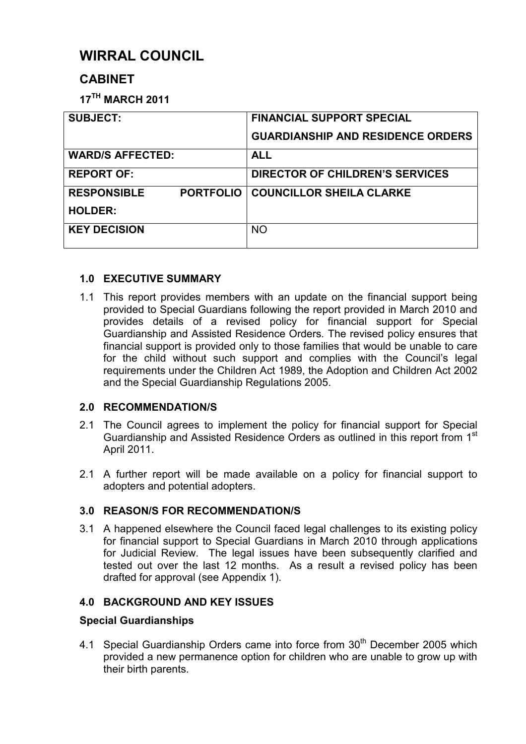# **WIRRAL COUNCIL**

## **CABINET**

**17TH MARCH 2011** 

| <b>SUBJECT:</b>                        | <b>FINANCIAL SUPPORT SPECIAL</b>         |
|----------------------------------------|------------------------------------------|
|                                        | <b>GUARDIANSHIP AND RESIDENCE ORDERS</b> |
| <b>WARD/S AFFECTED:</b>                | <b>ALL</b>                               |
| <b>REPORT OF:</b>                      | <b>DIRECTOR OF CHILDREN'S SERVICES</b>   |
| <b>RESPONSIBLE</b><br><b>PORTFOLIO</b> | <b>COUNCILLOR SHEILA CLARKE</b>          |
| <b>HOLDER:</b>                         |                                          |
| <b>KEY DECISION</b>                    | <b>NO</b>                                |
|                                        |                                          |

## **1.0 EXECUTIVE SUMMARY**

1.1 This report provides members with an update on the financial support being provided to Special Guardians following the report provided in March 2010 and provides details of a revised policy for financial support for Special Guardianship and Assisted Residence Orders*.* The revised policy ensures that financial support is provided only to those families that would be unable to care for the child without such support and complies with the Council's legal requirements under the Children Act 1989, the Adoption and Children Act 2002 and the Special Guardianship Regulations 2005.

## **2.0 RECOMMENDATION/S**

- 2.1 The Council agrees to implement the policy for financial support for Special Guardianship and Assisted Residence Orders as outlined in this report from 1<sup>st</sup> April 2011.
- 2.1 A further report will be made available on a policy for financial support to adopters and potential adopters.

## **3.0 REASON/S FOR RECOMMENDATION/S**

3.1 A happened elsewhere the Council faced legal challenges to its existing policy for financial support to Special Guardians in March 2010 through applications for Judicial Review. The legal issues have been subsequently clarified and tested out over the last 12 months. As a result a revised policy has been drafted for approval (see Appendix 1).

## **4.0 BACKGROUND AND KEY ISSUES**

## **Special Guardianships**

4.1 Special Guardianship Orders came into force from 30<sup>th</sup> December 2005 which provided a new permanence option for children who are unable to grow up with their birth parents.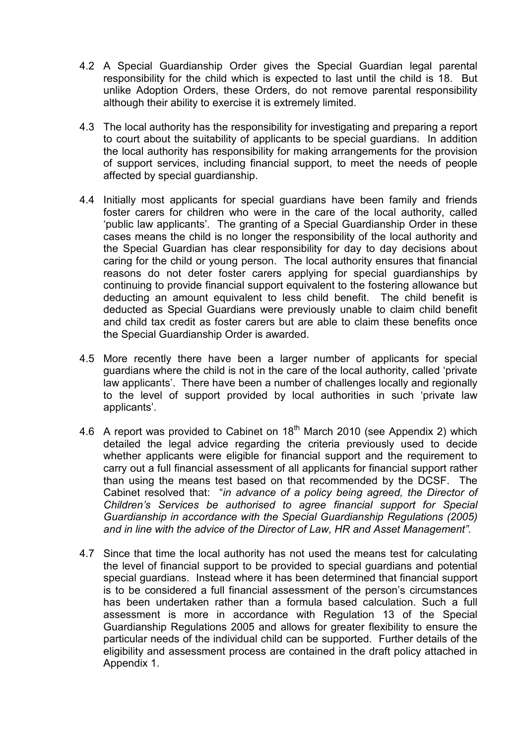- 4.2 A Special Guardianship Order gives the Special Guardian legal parental responsibility for the child which is expected to last until the child is 18. But unlike Adoption Orders, these Orders, do not remove parental responsibility although their ability to exercise it is extremely limited.
- 4.3 The local authority has the responsibility for investigating and preparing a report to court about the suitability of applicants to be special guardians. In addition the local authority has responsibility for making arrangements for the provision of support services, including financial support, to meet the needs of people affected by special guardianship.
- 4.4 Initially most applicants for special guardians have been family and friends foster carers for children who were in the care of the local authority, called 'public law applicants'. The granting of a Special Guardianship Order in these cases means the child is no longer the responsibility of the local authority and the Special Guardian has clear responsibility for day to day decisions about caring for the child or young person. The local authority ensures that financial reasons do not deter foster carers applying for special guardianships by continuing to provide financial support equivalent to the fostering allowance but deducting an amount equivalent to less child benefit. The child benefit is deducted as Special Guardians were previously unable to claim child benefit and child tax credit as foster carers but are able to claim these benefits once the Special Guardianship Order is awarded.
- 4.5 More recently there have been a larger number of applicants for special guardians where the child is not in the care of the local authority, called 'private law applicants'. There have been a number of challenges locally and regionally to the level of support provided by local authorities in such 'private law applicants'.
- 4.6 A report was provided to Cabinet on  $18<sup>th</sup>$  March 2010 (see Appendix 2) which detailed the legal advice regarding the criteria previously used to decide whether applicants were eligible for financial support and the requirement to carry out a full financial assessment of all applicants for financial support rather than using the means test based on that recommended by the DCSF. The Cabinet resolved that: "*in advance of a policy being agreed, the Director of Children's Services be authorised to agree financial support for Special Guardianship in accordance with the Special Guardianship Regulations (2005) and in line with the advice of the Director of Law, HR and Asset Management".*
- 4.7 Since that time the local authority has not used the means test for calculating the level of financial support to be provided to special guardians and potential special guardians. Instead where it has been determined that financial support is to be considered a full financial assessment of the person's circumstances has been undertaken rather than a formula based calculation. Such a full assessment is more in accordance with Regulation 13 of the Special Guardianship Regulations 2005 and allows for greater flexibility to ensure the particular needs of the individual child can be supported. Further details of the eligibility and assessment process are contained in the draft policy attached in Appendix 1.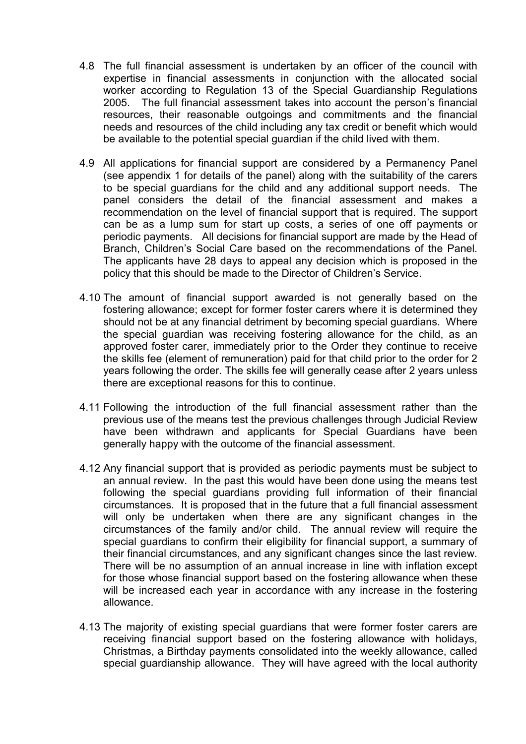- 4.8 The full financial assessment is undertaken by an officer of the council with expertise in financial assessments in conjunction with the allocated social worker according to Regulation 13 of the Special Guardianship Regulations 2005. The full financial assessment takes into account the person's financial resources, their reasonable outgoings and commitments and the financial needs and resources of the child including any tax credit or benefit which would be available to the potential special guardian if the child lived with them.
- 4.9 All applications for financial support are considered by a Permanency Panel (see appendix 1 for details of the panel) along with the suitability of the carers to be special guardians for the child and any additional support needs. The panel considers the detail of the financial assessment and makes a recommendation on the level of financial support that is required. The support can be as a lump sum for start up costs, a series of one off payments or periodic payments. All decisions for financial support are made by the Head of Branch, Children's Social Care based on the recommendations of the Panel. The applicants have 28 days to appeal any decision which is proposed in the policy that this should be made to the Director of Children's Service.
- 4.10 The amount of financial support awarded is not generally based on the fostering allowance; except for former foster carers where it is determined they should not be at any financial detriment by becoming special guardians. Where the special guardian was receiving fostering allowance for the child, as an approved foster carer, immediately prior to the Order they continue to receive the skills fee (element of remuneration) paid for that child prior to the order for 2 years following the order. The skills fee will generally cease after 2 years unless there are exceptional reasons for this to continue.
- 4.11 Following the introduction of the full financial assessment rather than the previous use of the means test the previous challenges through Judicial Review have been withdrawn and applicants for Special Guardians have been generally happy with the outcome of the financial assessment.
- 4.12 Any financial support that is provided as periodic payments must be subject to an annual review. In the past this would have been done using the means test following the special guardians providing full information of their financial circumstances. It is proposed that in the future that a full financial assessment will only be undertaken when there are any significant changes in the circumstances of the family and/or child. The annual review will require the special guardians to confirm their eligibility for financial support, a summary of their financial circumstances, and any significant changes since the last review. There will be no assumption of an annual increase in line with inflation except for those whose financial support based on the fostering allowance when these will be increased each year in accordance with any increase in the fostering allowance.
- 4.13 The majority of existing special guardians that were former foster carers are receiving financial support based on the fostering allowance with holidays, Christmas, a Birthday payments consolidated into the weekly allowance, called special guardianship allowance. They will have agreed with the local authority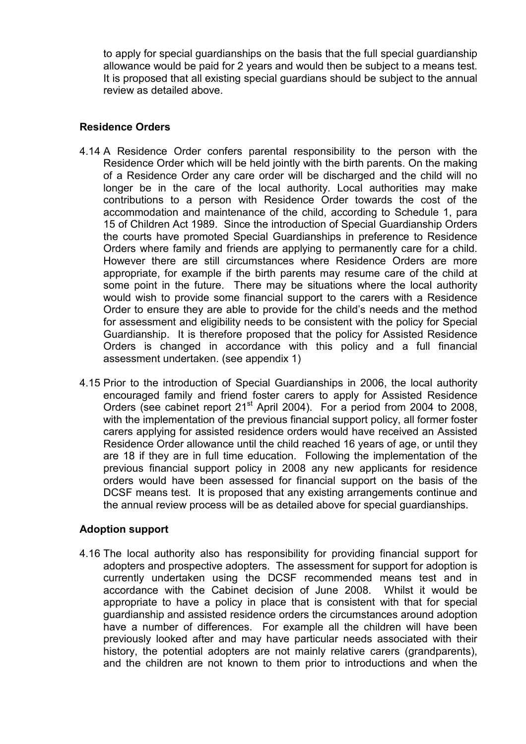to apply for special guardianships on the basis that the full special guardianship allowance would be paid for 2 years and would then be subject to a means test. It is proposed that all existing special guardians should be subject to the annual review as detailed above.

#### **Residence Orders**

- 4.14 A Residence Order confers parental responsibility to the person with the Residence Order which will be held jointly with the birth parents. On the making of a Residence Order any care order will be discharged and the child will no longer be in the care of the local authority. Local authorities may make contributions to a person with Residence Order towards the cost of the accommodation and maintenance of the child, according to Schedule 1, para 15 of Children Act 1989. Since the introduction of Special Guardianship Orders the courts have promoted Special Guardianships in preference to Residence Orders where family and friends are applying to permanently care for a child. However there are still circumstances where Residence Orders are more appropriate, for example if the birth parents may resume care of the child at some point in the future. There may be situations where the local authority would wish to provide some financial support to the carers with a Residence Order to ensure they are able to provide for the child's needs and the method for assessment and eligibility needs to be consistent with the policy for Special Guardianship. It is therefore proposed that the policy for Assisted Residence Orders is changed in accordance with this policy and a full financial assessment undertaken. (see appendix 1)
- 4.15 Prior to the introduction of Special Guardianships in 2006, the local authority encouraged family and friend foster carers to apply for Assisted Residence Orders (see cabinet report  $21^{st}$  April 2004). For a period from 2004 to 2008, with the implementation of the previous financial support policy, all former foster carers applying for assisted residence orders would have received an Assisted Residence Order allowance until the child reached 16 years of age, or until they are 18 if they are in full time education. Following the implementation of the previous financial support policy in 2008 any new applicants for residence orders would have been assessed for financial support on the basis of the DCSF means test. It is proposed that any existing arrangements continue and the annual review process will be as detailed above for special guardianships.

#### **Adoption support**

4.16 The local authority also has responsibility for providing financial support for adopters and prospective adopters. The assessment for support for adoption is currently undertaken using the DCSF recommended means test and in accordance with the Cabinet decision of June 2008. Whilst it would be appropriate to have a policy in place that is consistent with that for special guardianship and assisted residence orders the circumstances around adoption have a number of differences. For example all the children will have been previously looked after and may have particular needs associated with their history, the potential adopters are not mainly relative carers (grandparents), and the children are not known to them prior to introductions and when the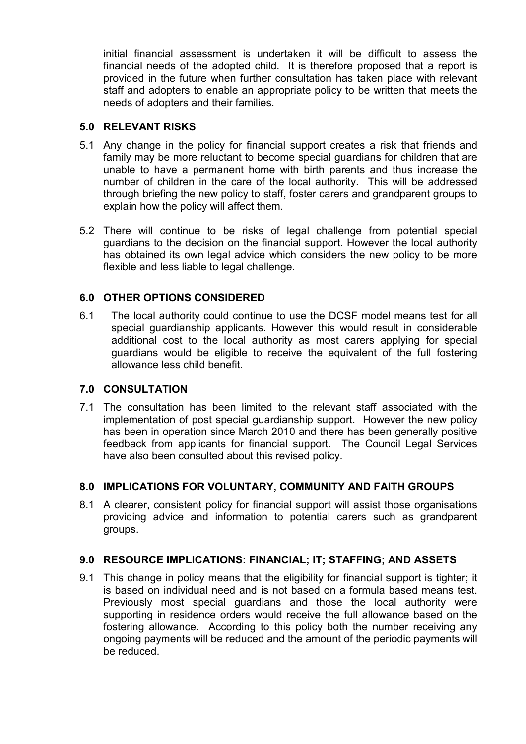initial financial assessment is undertaken it will be difficult to assess the financial needs of the adopted child. It is therefore proposed that a report is provided in the future when further consultation has taken place with relevant staff and adopters to enable an appropriate policy to be written that meets the needs of adopters and their families.

#### **5.0 RELEVANT RISKS**

- 5.1 Any change in the policy for financial support creates a risk that friends and family may be more reluctant to become special guardians for children that are unable to have a permanent home with birth parents and thus increase the number of children in the care of the local authority. This will be addressed through briefing the new policy to staff, foster carers and grandparent groups to explain how the policy will affect them.
- 5.2 There will continue to be risks of legal challenge from potential special guardians to the decision on the financial support. However the local authority has obtained its own legal advice which considers the new policy to be more flexible and less liable to legal challenge.

#### **6.0 OTHER OPTIONS CONSIDERED**

6.1 The local authority could continue to use the DCSF model means test for all special guardianship applicants. However this would result in considerable additional cost to the local authority as most carers applying for special guardians would be eligible to receive the equivalent of the full fostering allowance less child benefit.

#### **7.0 CONSULTATION**

7.1 The consultation has been limited to the relevant staff associated with the implementation of post special guardianship support. However the new policy has been in operation since March 2010 and there has been generally positive feedback from applicants for financial support. The Council Legal Services have also been consulted about this revised policy.

## **8.0 IMPLICATIONS FOR VOLUNTARY, COMMUNITY AND FAITH GROUPS**

8.1 A clearer, consistent policy for financial support will assist those organisations providing advice and information to potential carers such as grandparent groups.

#### **9.0 RESOURCE IMPLICATIONS: FINANCIAL; IT; STAFFING; AND ASSETS**

9.1 This change in policy means that the eligibility for financial support is tighter; it is based on individual need and is not based on a formula based means test. Previously most special guardians and those the local authority were supporting in residence orders would receive the full allowance based on the fostering allowance. According to this policy both the number receiving any ongoing payments will be reduced and the amount of the periodic payments will be reduced.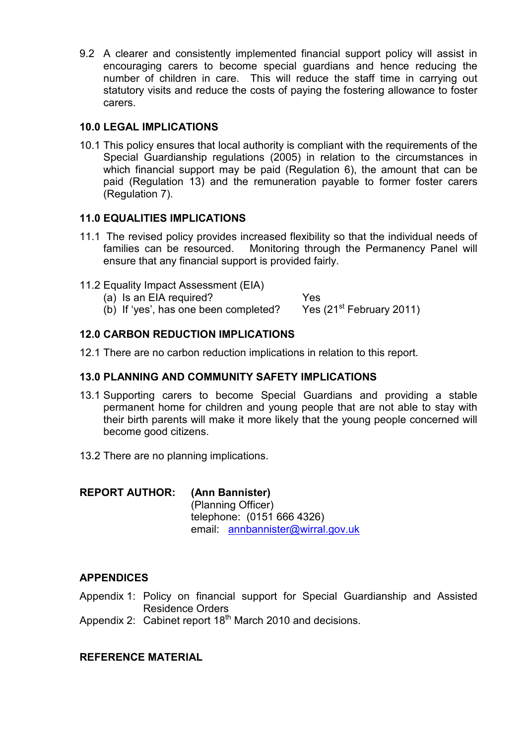9.2 A clearer and consistently implemented financial support policy will assist in encouraging carers to become special guardians and hence reducing the number of children in care. This will reduce the staff time in carrying out statutory visits and reduce the costs of paying the fostering allowance to foster carers.

### **10.0 LEGAL IMPLICATIONS**

10.1 This policy ensures that local authority is compliant with the requirements of the Special Guardianship regulations (2005) in relation to the circumstances in which financial support may be paid (Regulation 6), the amount that can be paid (Regulation 13) and the remuneration payable to former foster carers (Regulation 7).

#### **11.0 EQUALITIES IMPLICATIONS**

- 11.1 The revised policy provides increased flexibility so that the individual needs of families can be resourced. Monitoring through the Permanency Panel will ensure that any financial support is provided fairly.
- 11.2 Equality Impact Assessment (EIA)
	- (a) Is an EIA required?<br>
	(b) If 'yes', has one been completed? Yes (21<sup>st</sup> February 2011)
	- (b) If 'yes', has one been completed?

### **12.0 CARBON REDUCTION IMPLICATIONS**

12.1 There are no carbon reduction implications in relation to this report.

### **13.0 PLANNING AND COMMUNITY SAFETY IMPLICATIONS**

- 13.1 Supporting carers to become Special Guardians and providing a stable permanent home for children and young people that are not able to stay with their birth parents will make it more likely that the young people concerned will become good citizens.
- 13.2 There are no planning implications.

## **REPORT AUTHOR: (Ann Bannister)**

(Planning Officer) telephone: (0151 666 4326) email: annbannister@wirral.gov.uk

#### **APPENDICES**

- Appendix 1: Policy on financial support for Special Guardianship and Assisted Residence Orders
- Appendix 2: Cabinet report 18<sup>th</sup> March 2010 and decisions.

## **REFERENCE MATERIAL**